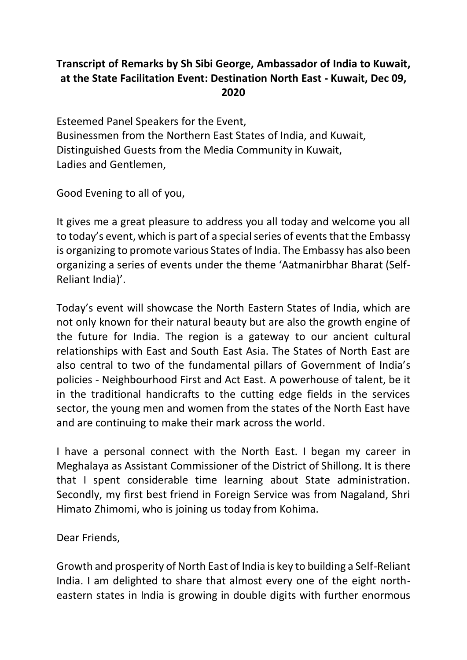## **Transcript of Remarks by Sh Sibi George, Ambassador of India to Kuwait, at the State Facilitation Event: Destination North East - Kuwait, Dec 09, 2020**

Esteemed Panel Speakers for the Event, Businessmen from the Northern East States of India, and Kuwait, Distinguished Guests from the Media Community in Kuwait, Ladies and Gentlemen,

Good Evening to all of you,

It gives me a great pleasure to address you all today and welcome you all to today's event, which is part of a special series of events that the Embassy is organizing to promote various States of India. The Embassy has also been organizing a series of events under the theme 'Aatmanirbhar Bharat (Self-Reliant India)'.

Today's event will showcase the North Eastern States of India, which are not only known for their natural beauty but are also the growth engine of the future for India. The region is a gateway to our ancient cultural relationships with East and South East Asia. The States of North East are also central to two of the fundamental pillars of Government of India's policies - Neighbourhood First and Act East. A powerhouse of talent, be it in the traditional handicrafts to the cutting edge fields in the services sector, the young men and women from the states of the North East have and are continuing to make their mark across the world.

I have a personal connect with the North East. I began my career in Meghalaya as Assistant Commissioner of the District of Shillong. It is there that I spent considerable time learning about State administration. Secondly, my first best friend in Foreign Service was from Nagaland, Shri Himato Zhimomi, who is joining us today from Kohima.

Dear Friends,

Growth and prosperity of North East of India is key to building a Self-Reliant India. I am delighted to share that almost every one of the eight northeastern states in India is growing in double digits with further enormous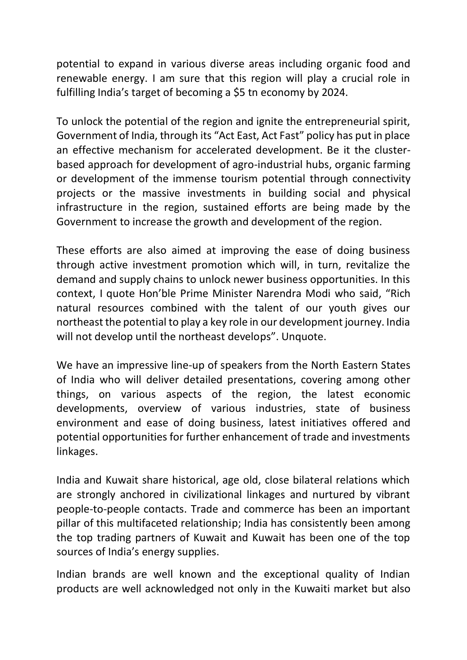potential to expand in various diverse areas including organic food and renewable energy. I am sure that this region will play a crucial role in fulfilling India's target of becoming a \$5 tn economy by 2024.

To unlock the potential of the region and ignite the entrepreneurial spirit, Government of India, through its "Act East, Act Fast" policy has put in place an effective mechanism for accelerated development. Be it the clusterbased approach for development of agro-industrial hubs, organic farming or development of the immense tourism potential through connectivity projects or the massive investments in building social and physical infrastructure in the region, sustained efforts are being made by the Government to increase the growth and development of the region.

These efforts are also aimed at improving the ease of doing business through active investment promotion which will, in turn, revitalize the demand and supply chains to unlock newer business opportunities. In this context, I quote Hon'ble Prime Minister Narendra Modi who said, "Rich natural resources combined with the talent of our youth gives our northeast the potential to play a key role in our development journey. India will not develop until the northeast develops". Unquote.

We have an impressive line-up of speakers from the North Eastern States of India who will deliver detailed presentations, covering among other things, on various aspects of the region, the latest economic developments, overview of various industries, state of business environment and ease of doing business, latest initiatives offered and potential opportunities for further enhancement of trade and investments linkages.

India and Kuwait share historical, age old, close bilateral relations which are strongly anchored in civilizational linkages and nurtured by vibrant people-to-people contacts. Trade and commerce has been an important pillar of this multifaceted relationship; India has consistently been among the top trading partners of Kuwait and Kuwait has been one of the top sources of India's energy supplies.

Indian brands are well known and the exceptional quality of Indian products are well acknowledged not only in the Kuwaiti market but also